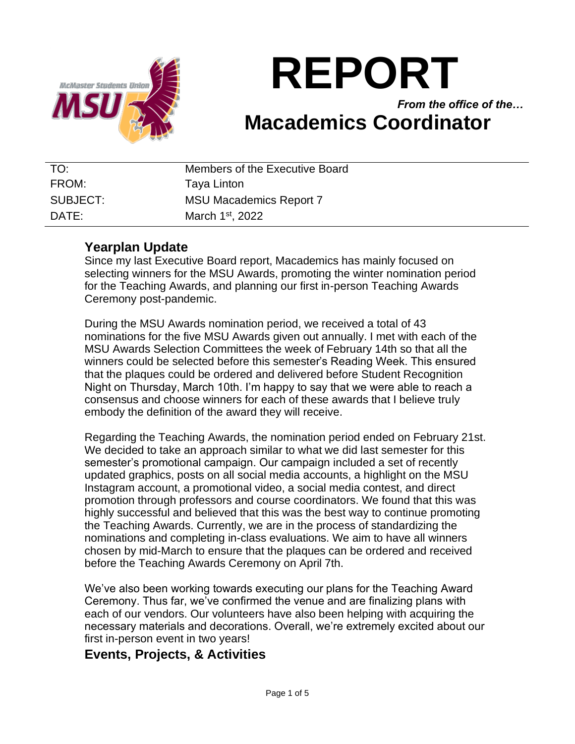

# **REPORT**

*From the office of the…* **Macademics Coordinator**

| TO:      | Members of the Executive Board |
|----------|--------------------------------|
| FROM:    | Taya Linton                    |
| SUBJECT: | <b>MSU Macademics Report 7</b> |
| DATE:    | March 1 <sup>st</sup> , 2022   |

## **Yearplan Update**

Since my last Executive Board report, Macademics has mainly focused on selecting winners for the MSU Awards, promoting the winter nomination period for the Teaching Awards, and planning our first in-person Teaching Awards Ceremony post-pandemic.

During the MSU Awards nomination period, we received a total of 43 nominations for the five MSU Awards given out annually. I met with each of the MSU Awards Selection Committees the week of February 14th so that all the winners could be selected before this semester's Reading Week. This ensured that the plaques could be ordered and delivered before Student Recognition Night on Thursday, March 10th. I'm happy to say that we were able to reach a consensus and choose winners for each of these awards that I believe truly embody the definition of the award they will receive.

Regarding the Teaching Awards, the nomination period ended on February 21st. We decided to take an approach similar to what we did last semester for this semester's promotional campaign. Our campaign included a set of recently updated graphics, posts on all social media accounts, a highlight on the MSU Instagram account, a promotional video, a social media contest, and direct promotion through professors and course coordinators. We found that this was highly successful and believed that this was the best way to continue promoting the Teaching Awards. Currently, we are in the process of standardizing the nominations and completing in-class evaluations. We aim to have all winners chosen by mid-March to ensure that the plaques can be ordered and received before the Teaching Awards Ceremony on April 7th.

We've also been working towards executing our plans for the Teaching Award Ceremony. Thus far, we've confirmed the venue and are finalizing plans with each of our vendors. Our volunteers have also been helping with acquiring the necessary materials and decorations. Overall, we're extremely excited about our first in-person event in two years!

## **Events, Projects, & Activities**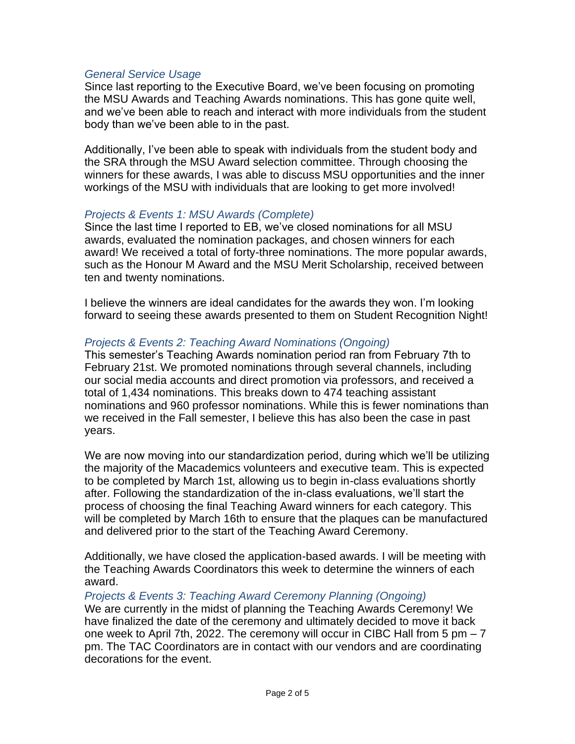#### *General Service Usage*

Since last reporting to the Executive Board, we've been focusing on promoting the MSU Awards and Teaching Awards nominations. This has gone quite well, and we've been able to reach and interact with more individuals from the student body than we've been able to in the past.

Additionally, I've been able to speak with individuals from the student body and the SRA through the MSU Award selection committee. Through choosing the winners for these awards, I was able to discuss MSU opportunities and the inner workings of the MSU with individuals that are looking to get more involved!

#### *Projects & Events 1: MSU Awards (Complete)*

Since the last time I reported to EB, we've closed nominations for all MSU awards, evaluated the nomination packages, and chosen winners for each award! We received a total of forty-three nominations. The more popular awards, such as the Honour M Award and the MSU Merit Scholarship, received between ten and twenty nominations.

I believe the winners are ideal candidates for the awards they won. I'm looking forward to seeing these awards presented to them on Student Recognition Night!

#### *Projects & Events 2: Teaching Award Nominations (Ongoing)*

This semester's Teaching Awards nomination period ran from February 7th to February 21st. We promoted nominations through several channels, including our social media accounts and direct promotion via professors, and received a total of 1,434 nominations. This breaks down to 474 teaching assistant nominations and 960 professor nominations. While this is fewer nominations than we received in the Fall semester, I believe this has also been the case in past years.

We are now moving into our standardization period, during which we'll be utilizing the majority of the Macademics volunteers and executive team. This is expected to be completed by March 1st, allowing us to begin in-class evaluations shortly after. Following the standardization of the in-class evaluations, we'll start the process of choosing the final Teaching Award winners for each category. This will be completed by March 16th to ensure that the plaques can be manufactured and delivered prior to the start of the Teaching Award Ceremony.

Additionally, we have closed the application-based awards. I will be meeting with the Teaching Awards Coordinators this week to determine the winners of each award.

*Projects & Events 3: Teaching Award Ceremony Planning (Ongoing)*

We are currently in the midst of planning the Teaching Awards Ceremony! We have finalized the date of the ceremony and ultimately decided to move it back one week to April 7th, 2022. The ceremony will occur in CIBC Hall from 5 pm – 7 pm. The TAC Coordinators are in contact with our vendors and are coordinating decorations for the event.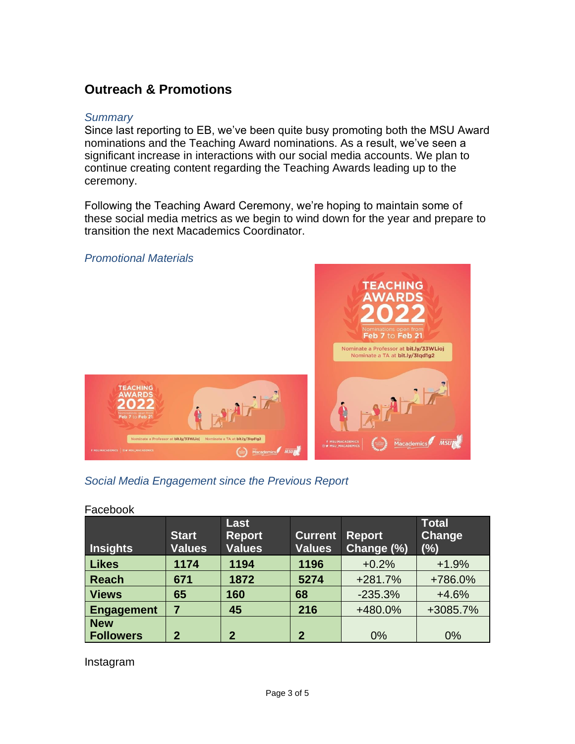# **Outreach & Promotions**

#### *Summary*

Since last reporting to EB, we've been quite busy promoting both the MSU Award nominations and the Teaching Award nominations. As a result, we've seen a significant increase in interactions with our social media accounts. We plan to continue creating content regarding the Teaching Awards leading up to the ceremony.

Following the Teaching Award Ceremony, we're hoping to maintain some of these social media metrics as we begin to wind down for the year and prepare to transition the next Macademics Coordinator.



## *Social Media Engagement since the Previous Report*

#### Facebook

| Insights          | <b>Start</b><br><b>Values</b> | Last<br><b>Report</b><br><b>Values</b> | <b>Current</b><br><b>Values</b> | <b>Report</b><br>Change (%) | <b>Total</b><br><b>Change</b><br>$(\%)$ |
|-------------------|-------------------------------|----------------------------------------|---------------------------------|-----------------------------|-----------------------------------------|
| <b>Likes</b>      | 1174                          | 1194                                   | 1196                            | $+0.2%$                     | $+1.9%$                                 |
| <b>Reach</b>      | 671                           | 1872                                   | 5274                            | $+281.7%$                   | +786.0%                                 |
| <b>Views</b>      | 65                            | 160                                    | 68                              | $-235.3%$                   | $+4.6%$                                 |
| <b>Engagement</b> | 7                             | 45                                     | 216                             | +480.0%                     | +3085.7%                                |
| <b>New</b>        |                               |                                        |                                 |                             |                                         |
| <b>Followers</b>  | $\mathbf 2$                   | 2                                      | $\mathbf{2}$                    | 0%                          | 0%                                      |

Instagram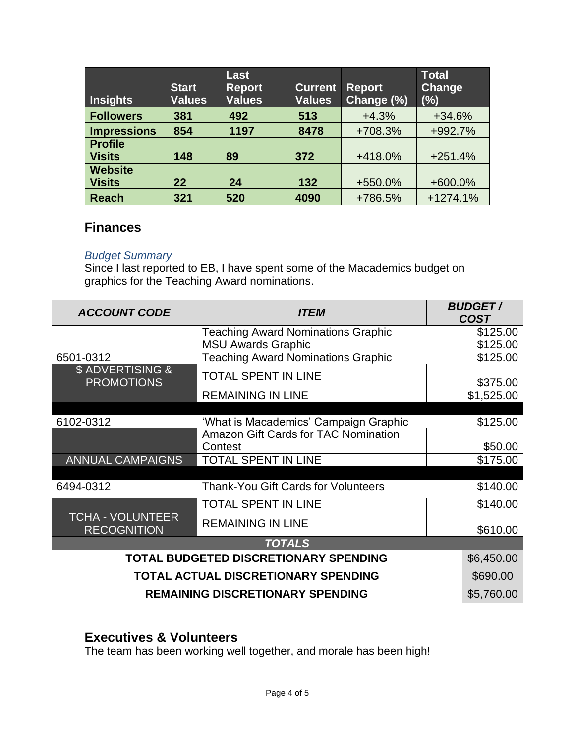| <b>Insights</b>                 | <b>Start</b><br><b>Values</b> | Last<br><b>Report</b><br><b>Values</b> | <b>Current</b><br><b>Values</b> | <b>Report</b><br>Change (%) | <b>Total</b><br>Change<br>(%) |
|---------------------------------|-------------------------------|----------------------------------------|---------------------------------|-----------------------------|-------------------------------|
| <b>Followers</b>                | 381                           | 492                                    | 513                             | $+4.3%$                     | $+34.6%$                      |
| <b>Impressions</b>              | 854                           | 1197                                   | 8478                            | +708.3%                     | +992.7%                       |
| <b>Profile</b><br><b>Visits</b> | 148                           | 89                                     | 372                             | +418.0%                     | $+251.4%$                     |
| <b>Website</b><br><b>Visits</b> | 22                            | 24                                     | 132                             | +550.0%                     | +600.0%                       |
| <b>Reach</b>                    | 321                           | 520                                    | 4090                            | +786.5%                     | $+1274.1%$                    |

#### **Finances**

#### *Budget Summary*

Since I last reported to EB, I have spent some of the Macademics budget on graphics for the Teaching Award nominations.

| <b>ACCOUNT CODE</b>                           | <i><b>ITEM</b></i>                          | <b>BUDGET/</b><br><b>COST</b> |  |  |
|-----------------------------------------------|---------------------------------------------|-------------------------------|--|--|
|                                               | <b>Teaching Award Nominations Graphic</b>   | \$125.00                      |  |  |
|                                               | <b>MSU Awards Graphic</b>                   | \$125.00                      |  |  |
| 6501-0312                                     | <b>Teaching Award Nominations Graphic</b>   | \$125.00                      |  |  |
| \$ ADVERTISING &<br><b>PROMOTIONS</b>         | <b>TOTAL SPENT IN LINE</b>                  | \$375.00                      |  |  |
|                                               | <b>REMAINING IN LINE</b>                    | \$1,525.00                    |  |  |
|                                               |                                             |                               |  |  |
| 6102-0312                                     | 'What is Macademics' Campaign Graphic       | \$125.00                      |  |  |
|                                               | <b>Amazon Gift Cards for TAC Nomination</b> |                               |  |  |
|                                               | Contest                                     | \$50.00                       |  |  |
| <b>ANNUAL CAMPAIGNS</b>                       | <b>TOTAL SPENT IN LINE</b>                  | \$175.00                      |  |  |
|                                               |                                             |                               |  |  |
| 6494-0312                                     | Thank-You Gift Cards for Volunteers         | \$140.00                      |  |  |
|                                               | <b>TOTAL SPENT IN LINE</b>                  | \$140.00                      |  |  |
| <b>TCHA - VOLUNTEER</b><br><b>RECOGNITION</b> | <b>REMAINING IN LINE</b>                    | \$610.00                      |  |  |
| <b>TOTALS</b>                                 |                                             |                               |  |  |
| TOTAL BUDGETED DISCRETIONARY SPENDING         | \$6,450.00                                  |                               |  |  |
| TOTAL ACTUAL DISCRETIONARY SPENDING           |                                             |                               |  |  |
| <b>REMAINING DISCRETIONARY SPENDING</b>       | \$5,760.00                                  |                               |  |  |

# **Executives & Volunteers**

The team has been working well together, and morale has been high!